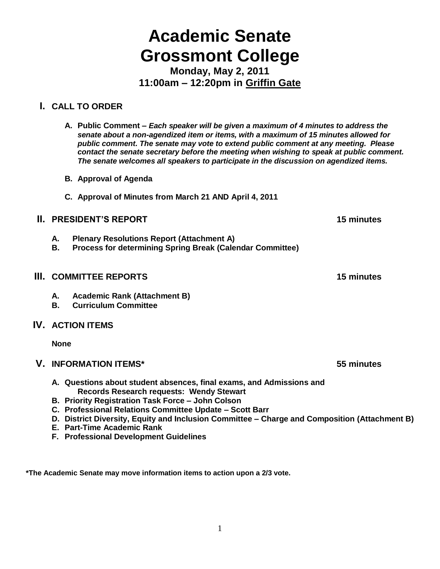# **Academic Senate Grossmont College**

**Monday, May 2, 2011 11:00am – 12:20pm in Griffin Gate**

# **I. CALL TO ORDER**

- **A. Public Comment –** *Each speaker will be given a maximum of 4 minutes to address the senate about a non-agendized item or items, with a maximum of 15 minutes allowed for public comment. The senate may vote to extend public comment at any meeting. Please contact the senate secretary before the meeting when wishing to speak at public comment. The senate welcomes all speakers to participate in the discussion on agendized items.*
- **B. Approval of Agenda**
- **C. Approval of Minutes from March 21 AND April 4, 2011**

# **II. PRESIDENT'S REPORT 15 minutes**

- **A. Plenary Resolutions Report (Attachment A)**
- **B. Process for determining Spring Break (Calendar Committee)**

# **III. COMMITTEE REPORTS 15 minutes**

- **A. Academic Rank (Attachment B)**
- **B. Curriculum Committee**

# **IV. ACTION ITEMS**

**None**

# **V. INFORMATION ITEMS\* 55 minutes**

- **A. Questions about student absences, final exams, and Admissions and Records Research requests: Wendy Stewart**
- **B. Priority Registration Task Force – John Colson**
- **C. Professional Relations Committee Update – Scott Barr**
- **D. District Diversity, Equity and Inclusion Committee – Charge and Composition (Attachment B)**
- **E. Part-Time Academic Rank**
- **F. Professional Development Guidelines**

**\*The Academic Senate may move information items to action upon a 2/3 vote.**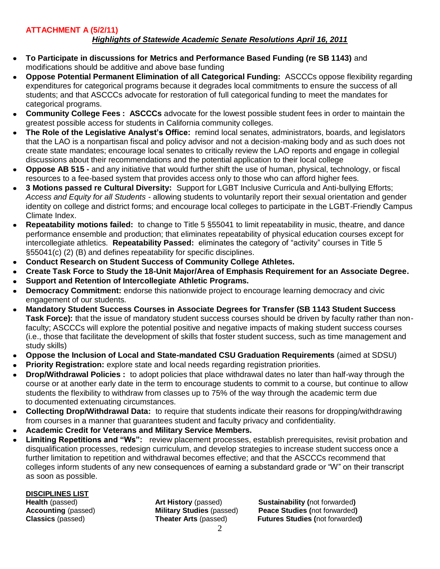## **ATTACHMENT A (5/2/11)**

## *Highlights of Statewide Academic Senate Resolutions April 16, 2011*

- **To Participate in discussions for Metrics and Performance Based Funding (re SB 1143)** and  $\bullet$ modifications should be additive and above base funding
- **Oppose Potential Permanent Elimination of all Categorical Funding:** ASCCCs oppose flexibility regarding expenditures for categorical programs because it degrades local commitments to ensure the success of all students; and that ASCCCs advocate for restoration of full categorical funding to meet the mandates for categorical programs.
- **Community College Fees : ASCCCs** advocate for the lowest possible student fees in order to maintain the greatest possible access for students in California community colleges.
- **The Role of the Legislative Analyst's Office:** remind local senates, administrators, boards, and legislators that the LAO is a nonpartisan fiscal and policy advisor and not a decision-making body and as such does not create state mandates; encourage local senates to critically review the LAO reports and engage in collegial discussions about their recommendations and the potential application to their local college
- **Oppose AB 515 -** and any initiative that would further shift the use of human, physical, technology, or fiscal resources to a fee-based system that provides access only to those who can afford higher fees.
- **3 Motions passed re Cultural Diversity:** Support for LGBT Inclusive Curricula and Anti-bullying Efforts; *Access and Equity for all Students -* allowing students to voluntarily report their sexual orientation and gender identity on college and district forms; and encourage local colleges to participate in the LGBT-Friendly Campus Climate Index.
- **Repeatability motions failed:** to change to Title 5 §55041 to limit repeatability in music, theatre, and dance performance ensemble and production; that eliminates repeatability of physical education courses except for intercollegiate athletics. **Repeatability Passed:** eliminates the category of "activity" courses in Title 5 §55041(c) (2) (B) and defines repeatability for specific disciplines.
- **Conduct Research on Student Success of Community College Athletes.**
- **Create Task Force to Study the 18-Unit Major/Area of Emphasis Requirement for an Associate Degree.**
- **Support and Retention of Intercollegiate Athletic Programs.**
- **Democracy Commitment:** endorse this nationwide project to encourage learning democracy and civic engagement of our students.
- **Mandatory Student Success Courses in Associate Degrees for Transfer (SB 1143 Student Success Task Force):** that the issue of mandatory student success courses should be driven by faculty rather than nonfaculty; ASCCCs will explore the potential positive and negative impacts of making student success courses (i.e., those that facilitate the development of skills that foster student success, such as time management and study skills)
- **Oppose the Inclusion of Local and State-mandated CSU Graduation Requirements** (aimed at SDSU)
- **Priority Registration:** explore state and local needs regarding registration priorities.
- **Drop/Withdrawal Policies :** to adopt policies that place withdrawal dates no later than half-way through the course or at another early date in the term to encourage students to commit to a course, but continue to allow students the flexibility to withdraw from classes up to 75% of the way through the academic term due to documented extenuating circumstances.
- **Collecting Drop/Withdrawal Data:** to require that students indicate their reasons for dropping/withdrawing from courses in a manner that guarantees student and faculty privacy and confidentiality.
- **Academic Credit for Veterans and Military Service Members.**
- **Limiting Repetitions and "Ws":** review placement processes, establish prerequisites, revisit probation and disqualification processes, redesign curriculum, and develop strategies to increase student success once a further limitation to repetition and withdrawal becomes effective; and that the ASCCCs recommend that colleges inform students of any new consequences of earning a substandard grade or "W" on their transcript as soon as possible.

**DISCIPLINES LIST**

**Health** (passed) **Art History** (passed) **Sustainability (**not forwarded**) Accounting** (passed) **Military Studies** (passed) **Peace Studies (**not forwarded**) Classics** (passed) **Theater Arts** (passed) **Futures Studies (**not forwarded**)**